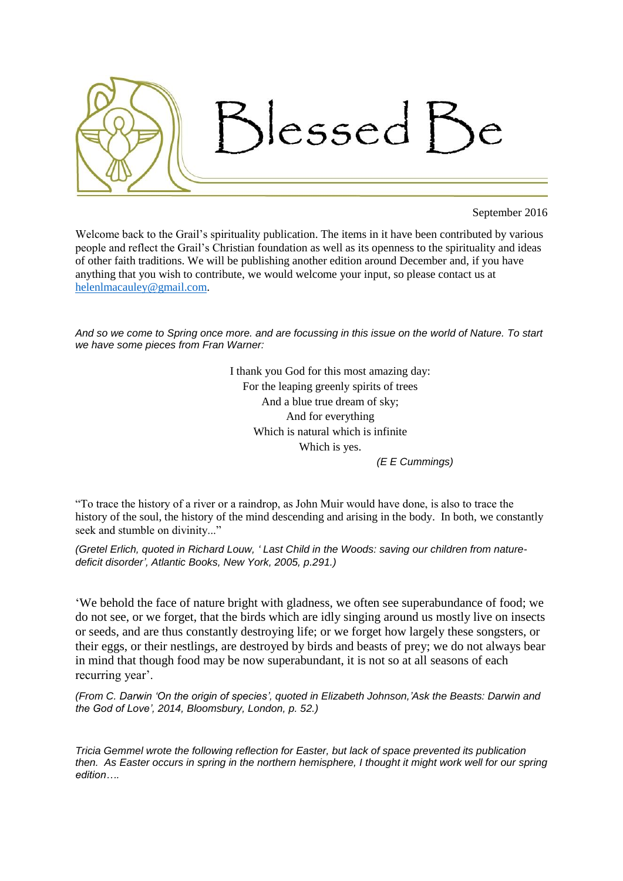

## September 2016

Welcome back to the Grail's spirituality publication. The items in it have been contributed by various people and reflect the Grail's Christian foundation as well as its openness to the spirituality and ideas of other faith traditions. We will be publishing another edition around December and, if you have anything that you wish to contribute, we would welcome your input, so please contact us at [helenlmacauley@gmail.com.](mailto:helenlmacauley@gmail.com)

*And so we come to Spring once more. and are focussing in this issue on the world of Nature. To start we have some pieces from Fran Warner:*

> I thank you God for this most amazing day: For the leaping greenly spirits of trees And a blue true dream of sky; And for everything Which is natural which is infinite Which is yes.

*(E E Cummings)*

"To trace the history of a river or a raindrop, as John Muir would have done, is also to trace the history of the soul, the history of the mind descending and arising in the body. In both, we constantly seek and stumble on divinity..."

*(Gretel Erlich, quoted in Richard Louw, ' Last Child in the Woods: saving our children from naturedeficit disorder', Atlantic Books, New York, 2005, p.291.)*

'We behold the face of nature bright with gladness, we often see superabundance of food; we do not see, or we forget, that the birds which are idly singing around us mostly live on insects or seeds, and are thus constantly destroying life; or we forget how largely these songsters, or their eggs, or their nestlings, are destroyed by birds and beasts of prey; we do not always bear in mind that though food may be now superabundant, it is not so at all seasons of each recurring year'.

*(From C. Darwin 'On the origin of species', quoted in Elizabeth Johnson,'Ask the Beasts: Darwin and the God of Love', 2014, Bloomsbury, London, p. 52.)*

*Tricia Gemmel wrote the following reflection for Easter, but lack of space prevented its publication then. As Easter occurs in spring in the northern hemisphere, I thought it might work well for our spring edition….*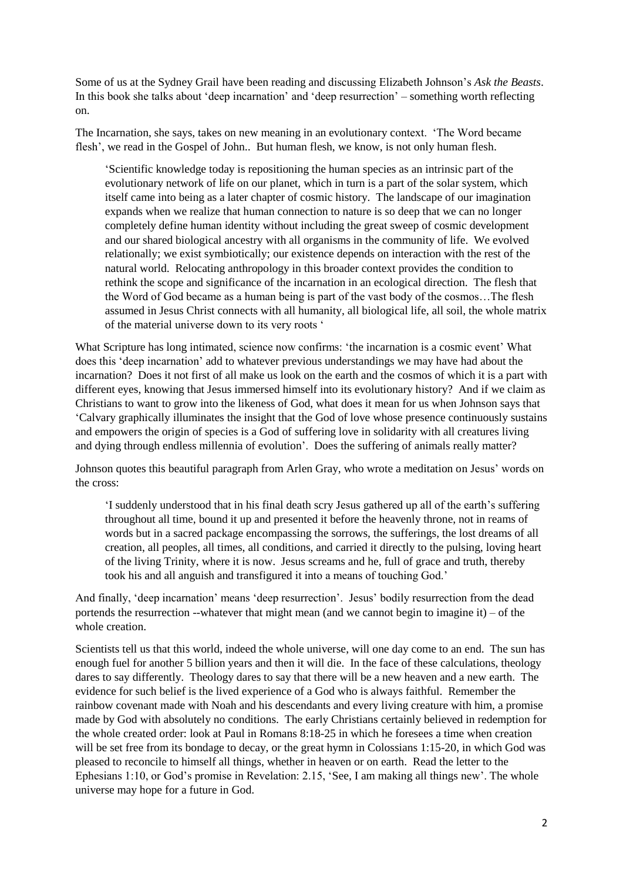Some of us at the Sydney Grail have been reading and discussing Elizabeth Johnson's *Ask the Beasts*. In this book she talks about 'deep incarnation' and 'deep resurrection' – something worth reflecting on.

The Incarnation, she says, takes on new meaning in an evolutionary context. 'The Word became flesh', we read in the Gospel of John.. But human flesh, we know, is not only human flesh.

'Scientific knowledge today is repositioning the human species as an intrinsic part of the evolutionary network of life on our planet, which in turn is a part of the solar system, which itself came into being as a later chapter of cosmic history. The landscape of our imagination expands when we realize that human connection to nature is so deep that we can no longer completely define human identity without including the great sweep of cosmic development and our shared biological ancestry with all organisms in the community of life. We evolved relationally; we exist symbiotically; our existence depends on interaction with the rest of the natural world. Relocating anthropology in this broader context provides the condition to rethink the scope and significance of the incarnation in an ecological direction. The flesh that the Word of God became as a human being is part of the vast body of the cosmos…The flesh assumed in Jesus Christ connects with all humanity, all biological life, all soil, the whole matrix of the material universe down to its very roots '

What Scripture has long intimated, science now confirms: 'the incarnation is a cosmic event' What does this 'deep incarnation' add to whatever previous understandings we may have had about the incarnation? Does it not first of all make us look on the earth and the cosmos of which it is a part with different eyes, knowing that Jesus immersed himself into its evolutionary history? And if we claim as Christians to want to grow into the likeness of God, what does it mean for us when Johnson says that 'Calvary graphically illuminates the insight that the God of love whose presence continuously sustains and empowers the origin of species is a God of suffering love in solidarity with all creatures living and dying through endless millennia of evolution'. Does the suffering of animals really matter?

Johnson quotes this beautiful paragraph from Arlen Gray, who wrote a meditation on Jesus' words on the cross:

'I suddenly understood that in his final death scry Jesus gathered up all of the earth's suffering throughout all time, bound it up and presented it before the heavenly throne, not in reams of words but in a sacred package encompassing the sorrows, the sufferings, the lost dreams of all creation, all peoples, all times, all conditions, and carried it directly to the pulsing, loving heart of the living Trinity, where it is now. Jesus screams and he, full of grace and truth, thereby took his and all anguish and transfigured it into a means of touching God.'

And finally, 'deep incarnation' means 'deep resurrection'. Jesus' bodily resurrection from the dead portends the resurrection --whatever that might mean (and we cannot begin to imagine it) – of the whole creation

Scientists tell us that this world, indeed the whole universe, will one day come to an end. The sun has enough fuel for another 5 billion years and then it will die. In the face of these calculations, theology dares to say differently. Theology dares to say that there will be a new heaven and a new earth. The evidence for such belief is the lived experience of a God who is always faithful. Remember the rainbow covenant made with Noah and his descendants and every living creature with him, a promise made by God with absolutely no conditions. The early Christians certainly believed in redemption for the whole created order: look at Paul in Romans 8:18-25 in which he foresees a time when creation will be set free from its bondage to decay, or the great hymn in Colossians 1:15-20, in which God was pleased to reconcile to himself all things, whether in heaven or on earth. Read the letter to the Ephesians 1:10, or God's promise in Revelation: 2.15, 'See, I am making all things new'. The whole universe may hope for a future in God.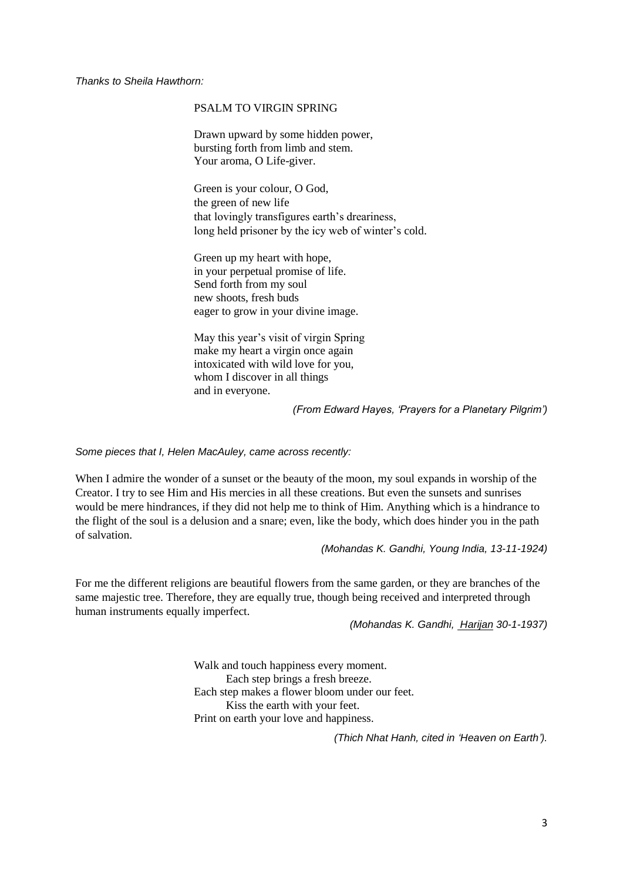*Thanks to Sheila Hawthorn:*

## PSALM TO VIRGIN SPRING

Drawn upward by some hidden power, bursting forth from limb and stem. Your aroma, O Life-giver.

Green is your colour, O God, the green of new life that lovingly transfigures earth's dreariness, long held prisoner by the icy web of winter's cold.

Green up my heart with hope, in your perpetual promise of life. Send forth from my soul new shoots, fresh buds eager to grow in your divine image.

May this year's visit of virgin Spring make my heart a virgin once again intoxicated with wild love for you, whom I discover in all things and in everyone.

*(From Edward Hayes, 'Prayers for a Planetary Pilgrim')*

*Some pieces that I, Helen MacAuley, came across recently:*

When I admire the wonder of a sunset or the beauty of the moon, my soul expands in worship of the Creator. I try to see Him and His mercies in all these creations. But even the sunsets and sunrises would be mere hindrances, if they did not help me to think of Him. Anything which is a hindrance to the flight of the soul is a delusion and a snare; even, like the body, which does hinder you in the path of salvation.

*(Mohandas K. Gandhi, Young India, 13-11-1924)*

For me the different religions are beautiful flowers from the same garden, or they are branches of the same majestic tree. Therefore, they are equally true, though being received and interpreted through human instruments equally imperfect.

*(Mohandas K. Gandhi, Harijan 30-1-1937)*

Walk and touch happiness every moment. Each step brings a fresh breeze. Each step makes a flower bloom under our feet. Kiss the earth with your feet. Print on earth your love and happiness.

*(Thich Nhat Hanh, cited in 'Heaven on Earth').*